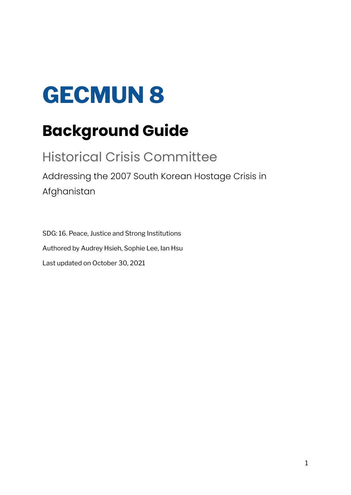# **GECMUN 8**

## **Background Guide**

### Historical Crisis Committee Addressing the 2007 South Korean Hostage Crisis in Afghanistan

SDG: 16. Peace, Justice and Strong Institutions Authored by Audrey Hsieh, Sophie Lee, Ian Hsu Last updated on October 30, 2021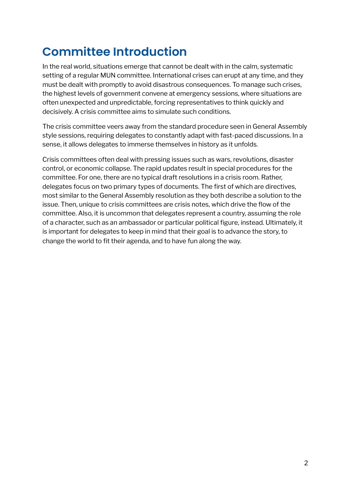### **Committee Introduction**

In the real world, situations emerge that cannot be dealt with in the calm, systematic setting of a regular MUN committee. International crises can erupt at any time, and they must be dealt with promptly to avoid disastrous consequences. To manage such crises, the highest levels of government convene at emergency sessions, where situations are often unexpected and unpredictable, forcing representatives to think quickly and decisively. A crisis committee aims to simulate such conditions.

The crisis committee veers away from the standard procedure seen in General Assembly style sessions, requiring delegates to constantly adapt with fast-paced discussions. In a sense, it allows delegates to immerse themselves in history as it unfolds.

Crisis committees often deal with pressing issues such as wars, revolutions, disaster control, or economic collapse. The rapid updates result in special procedures for the committee. For one, there are no typical draft resolutions in a crisis room. Rather, delegates focus on two primary types of documents. The first of which are directives, most similar to the General Assembly resolution as they both describe a solution to the issue. Then, unique to crisis committees are crisis notes, which drive the flow of the committee. Also, it is uncommon that delegates represent a country, assuming the role of a character, such as an ambassador or particular political figure, instead. Ultimately, it is important for delegates to keep in mind that their goal is to advance the story, to change the world to fit their agenda, and to have fun along the way.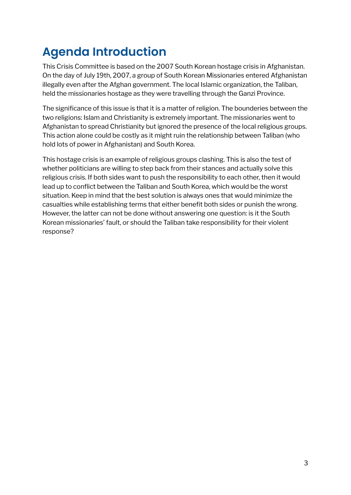### **Agenda Introduction**

This Crisis Committee is based on the 2007 South Korean hostage crisis in Afghanistan. On the day of July 19th, 2007, a group of South Korean Missionaries entered Afghanistan illegally even after the Afghan government. The local Islamic organization, the Taliban, held the missionaries hostage as they were travelling through the Ganzi Province.

The significance of this issue is that it is a matter of religion. The bounderies between the two religions: Islam and Christianity is extremely important. The missionaries went to Afghanistan to spread Christianity but ignored the presence of the local religious groups. This action alone could be costly as it might ruin the relationship between Taliban (who hold lots of power in Afghanistan) and South Korea.

This hostage crisis is an example of religious groups clashing. This is also the test of whether politicians are willing to step back from their stances and actually solve this religious crisis. If both sides want to push the responsibility to each other, then it would lead up to conflict between the Taliban and South Korea, which would be the worst situation. Keep in mind that the best solution is always ones that would minimize the casualties while establishing terms that either benefit both sides or punish the wrong. However, the latter can not be done without answering one question: is it the South Korean missionaries' fault, or should the Taliban take responsibility for their violent response?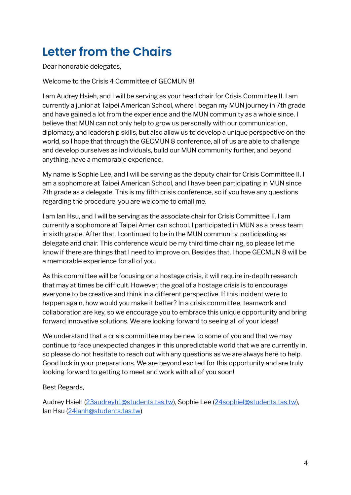### **Letter from the Chairs**

Dear honorable delegates,

Welcome to the Crisis 4 Committee of GECMUN 8!

I am Audrey Hsieh, and I will be serving as your head chair for Crisis Committee II. I am currently a junior at Taipei American School, where I began my MUN journey in 7th grade and have gained a lot from the experience and the MUN community as a whole since. I believe that MUN can not only help to grow us personally with our communication, diplomacy, and leadership skills, but also allow us to develop a unique perspective on the world, so I hope that through the GECMUN 8 conference, all of us are able to challenge and develop ourselves as individuals, build our MUN community further, and beyond anything, have a memorable experience.

My name is Sophie Lee, and I will be serving as the deputy chair for Crisis Committee II. I am a sophomore at Taipei American School, and I have been participating in MUN since 7th grade as a delegate. This is my fifth crisis conference, so if you have any questions regarding the procedure, you are welcome to email me.

I am Ian Hsu, and I will be serving as the associate chair for Crisis Committee II. I am currently a sophomore at Taipei American school. I participated in MUN as a press team in sixth grade. After that, I continued to be in the MUN community, participating as delegate and chair. This conference would be my third time chairing, so please let me know if there are things that I need to improve on. Besides that, I hope GECMUN 8 will be a memorable experience for all of you.

As this committee will be focusing on a hostage crisis, it will require in-depth research that may at times be difficult. However, the goal of a hostage crisis is to encourage everyone to be creative and think in a different perspective. If this incident were to happen again, how would you make it better? In a crisis committee, teamwork and collaboration are key, so we encourage you to embrace this unique opportunity and bring forward innovative solutions. We are looking forward to seeing all of your ideas!

We understand that a crisis committee may be new to some of you and that we may continue to face unexpected changes in this unpredictable world that we are currently in, so please do not hesitate to reach out with any questions as we are always here to help. Good luck in your preparations. We are beyond excited for this opportunity and are truly looking forward to getting to meet and work with all of you soon!

Best Regards,

Audrey Hsieh [\(23audreyh1@students.tas.tw](mailto:23audreyh1@students.tas.tw)), Sophie Lee ([24sophiel@students.tas.tw](mailto:24sophiel@students.tas.tw)), Ian Hsu ([24ianh@students.tas.tw\)](mailto:24ianh@students.tas.tw)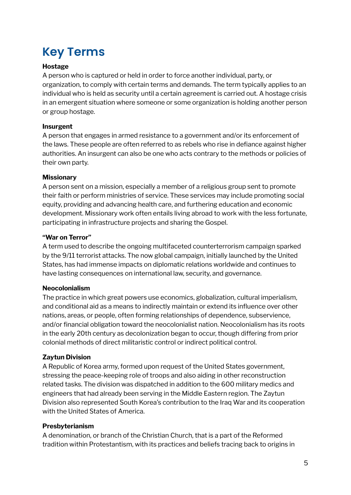### **Key Terms**

#### **Hostage**

A person who is captured or held in order to force another individual, party, or organization, to comply with certain terms and demands. The term typically applies to an individual who is held as security until a certain agreement is carried out. A hostage crisis in an emergent situation where someone or some organization is holding another person or group hostage.

#### **Insurgent**

A person that engages in armed resistance to a government and/or its enforcement of the laws. These people are often referred to as rebels who rise in defiance against higher authorities. An insurgent can also be one who acts contrary to the methods or policies of their own party.

#### **Missionary**

A person sent on a mission, especially a member of a religious group sent to promote their faith or perform ministries of service. These services may include promoting social equity, providing and advancing health care, and furthering education and economic development. Missionary work often entails living abroad to work with the less fortunate, participating in infrastructure projects and sharing the Gospel.

#### **"War on Terror"**

A term used to describe the ongoing multifaceted counterterrorism campaign sparked by the 9/11 terrorist attacks. The now global campaign, initially launched by the United States, has had immense impacts on diplomatic relations worldwide and continues to have lasting consequences on international law, security, and governance.

#### **Neocolonialism**

The practice in which great powers use economics, globalization, cultural imperialism, and conditional aid as a means to indirectly maintain or extend its influence over other nations, areas, or people, often forming relationships of dependence, subservience, and/or financial obligation toward the neocolonialist nation. Neocolonialism has its roots in the early 20th century as decolonization began to occur, though differing from prior colonial methods of direct militaristic control or indirect political control.

#### **Zaytun Division**

A Republic of Korea army, formed upon request of the United States government, stressing the peace-keeping role of troops and also aiding in other reconstruction related tasks. The division was dispatched in addition to the 600 military medics and engineers that had already been serving in the Middle Eastern region. The Zaytun Division also represented South Korea's contribution to the Iraq War and its cooperation with the United States of America.

#### **Presbyterianism**

A denomination, or branch of the Christian Church, that is a part of the Reformed tradition within Protestantism, with its practices and beliefs tracing back to origins in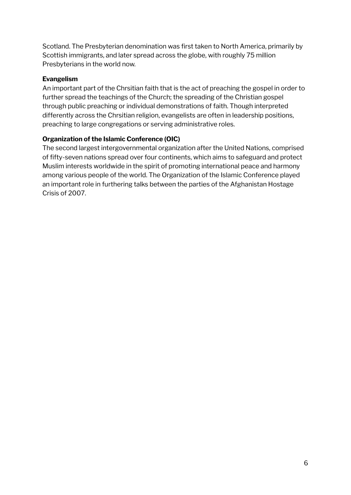Scotland. The Presbyterian denomination was first taken to North America, primarily by Scottish immigrants, and later spread across the globe, with roughly 75 million Presbyterians in the world now.

#### **Evangelism**

An important part of the Chrsitian faith that is the act of preaching the gospel in order to further spread the teachings of the Church; the spreading of the Christian gospel through public preaching or individual demonstrations of faith. Though interpreted differently across the Chrsitian religion, evangelists are often in leadership positions, preaching to large congregations or serving administrative roles.

#### **Organization of the Islamic Conference (OIC)**

The second largest intergovernmental organization after the United Nations, comprised of fifty-seven nations spread over four continents, which aims to safeguard and protect Muslim interests worldwide in the spirit of promoting international peace and harmony among various people of the world. The Organization of the Islamic Conference played an important role in furthering talks between the parties of the Afghanistan Hostage Crisis of 2007.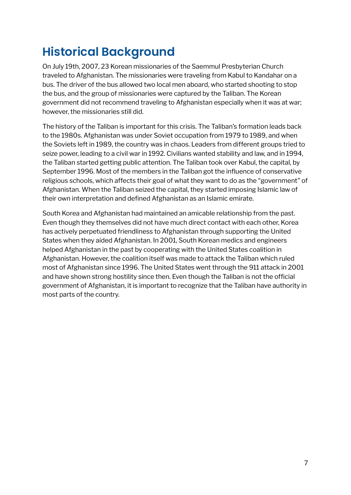### **Historical Background**

On July 19th, 2007, 23 Korean missionaries of the Saemmul Presbyterian Church traveled to Afghanistan. The missionaries were traveling from Kabul to Kandahar on a bus. The driver of the bus allowed two local men aboard, who started shooting to stop the bus, and the group of missionaries were captured by the Taliban. The Korean government did not recommend traveling to Afghanistan especially when it was at war; however, the missionaries still did.

The history of the Taliban is important for this crisis. The Taliban's formation leads back to the 1980s. Afghanistan was under Soviet occupation from 1979 to 1989, and when the Soviets left in 1989, the country was in chaos. Leaders from different groups tried to seize power, leading to a civil war in 1992. Civilians wanted stability and law, and in 1994, the Taliban started getting public attention. The Taliban took over Kabul, the capital, by September 1996. Most of the members in the Taliban got the influence of conservative religious schools, which affects their goal of what they want to do as the "government" of Afghanistan. When the Taliban seized the capital, they started imposing Islamic law of their own interpretation and defined Afghanistan as an Islamic emirate.

South Korea and Afghanistan had maintained an amicable relationship from the past. Even though they themselves did not have much direct contact with each other, Korea has actively perpetuated friendliness to Afghanistan through supporting the United States when they aided Afghanistan. In 2001, South Korean medics and engineers helped Afghanistan in the past by cooperating with the United States coalition in Afghanistan. However, the coalition itself was made to attack the Taliban which ruled most of Afghanistan since 1996. The United States went through the 911 attack in 2001 and have shown strong hostility since then. Even though the Taliban is not the official government of Afghanistan, it is important to recognize that the Taliban have authority in most parts of the country.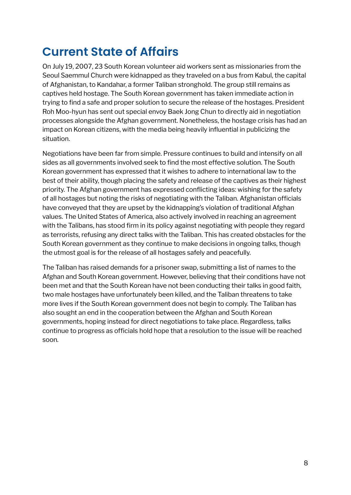### **Current State of Affairs**

On July 19, 2007, 23 South Korean volunteer aid workers sent as missionaries from the Seoul Saemmul Church were kidnapped as they traveled on a bus from Kabul, the capital of Afghanistan, to Kandahar, a former Taliban stronghold. The group still remains as captives held hostage. The South Korean government has taken immediate action in trying to find a safe and proper solution to secure the release of the hostages. President Roh Moo-hyun has sent out special envoy Baek Jong Chun to directly aid in negotiation processes alongside the Afghan government. Nonetheless, the hostage crisis has had an impact on Korean citizens, with the media being heavily influential in publicizing the situation.

Negotiations have been far from simple. Pressure continues to build and intensify on all sides as all governments involved seek to find the most effective solution. The South Korean government has expressed that it wishes to adhere to international law to the best of their ability, though placing the safety and release of the captives as their highest priority. The Afghan government has expressed conflicting ideas: wishing for the safety of all hostages but noting the risks of negotiating with the Taliban. Afghanistan officials have conveyed that they are upset by the kidnapping's violation of traditional Afghan values. The United States of America, also actively involved in reaching an agreement with the Talibans, has stood firm in its policy against negotiating with people they regard as terrorists, refusing any direct talks with the Taliban. This has created obstacles for the South Korean government as they continue to make decisions in ongoing talks, though the utmost goal is for the release of all hostages safely and peacefully.

The Taliban has raised demands for a prisoner swap, submitting a list of names to the Afghan and South Korean government. However, believing that their conditions have not been met and that the South Korean have not been conducting their talks in good faith, two male hostages have unfortunately been killed, and the Taliban threatens to take more lives if the South Korean government does not begin to comply. The Taliban has also sought an end in the cooperation between the Afghan and South Korean governments, hoping instead for direct negotiations to take place. Regardless, talks continue to progress as officials hold hope that a resolution to the issue will be reached soon.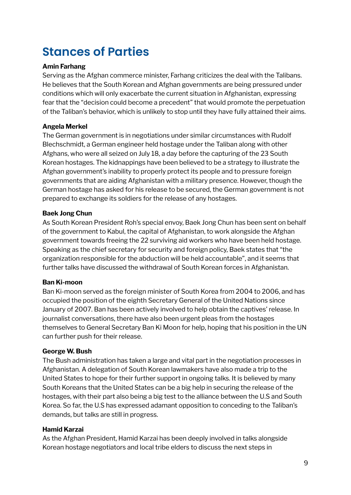### **Stances of Parties**

#### **Amin Farhang**

Serving as the Afghan commerce minister, Farhang criticizes the deal with the Talibans. He believes that the South Korean and Afghan governments are being pressured under conditions which will only exacerbate the current situation in Afghanistan, expressing fear that the "decision could become a precedent" that would promote the perpetuation of the Taliban's behavior, which is unlikely to stop until they have fully attained their aims.

#### **Angela Merkel**

The German government is in negotiations under similar circumstances with Rudolf Blechschmidt, a German engineer held hostage under the Taliban along with other Afghans, who were all seized on July 18, a day before the capturing of the 23 South Korean hostages. The kidnappings have been believed to be a strategy to illustrate the Afghan government's inability to properly protect its people and to pressure foreign governments that are aiding Afghanistan with a military presence. However, though the German hostage has asked for his release to be secured, the German government is not prepared to exchange its soldiers for the release of any hostages.

#### **Baek Jong Chun**

As South Korean President Roh's special envoy, Baek Jong Chun has been sent on behalf of the government to Kabul, the capital of Afghanistan, to work alongside the Afghan government towards freeing the 22 surviving aid workers who have been held hostage. Speaking as the chief secretary for security and foreign policy, Baek states that "the organization responsible for the abduction will be held accountable", and it seems that further talks have discussed the withdrawal of South Korean forces in Afghanistan.

#### **Ban Ki-moon**

Ban Ki-moon served as the foreign minister of South Korea from 2004 to 2006, and has occupied the position of the eighth Secretary General of the United Nations since January of 2007. Ban has been actively involved to help obtain the captives' release. In journalist conversations, there have also been urgent pleas from the hostages themselves to General Secretary Ban Ki Moon for help, hoping that his position in the UN can further push for their release.

#### **George W. Bush**

The Bush administration has taken a large and vital part in the negotiation processes in Afghanistan. A delegation of South Korean lawmakers have also made a trip to the United States to hope for their further support in ongoing talks. It is believed by many South Koreans that the United States can be a big help in securing the release of the hostages, with their part also being a big test to the alliance between the U.S and South Korea. So far, the U.S has expressed adamant opposition to conceding to the Taliban's demands, but talks are still in progress.

#### **Hamid Karzai**

As the Afghan President, Hamid Karzai has been deeply involved in talks alongside Korean hostage negotiators and local tribe elders to discuss the next steps in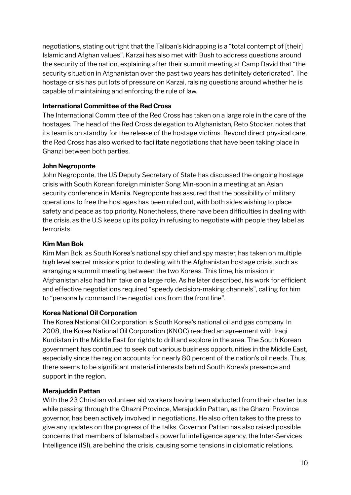negotiations, stating outright that the Taliban's kidnapping is a "total contempt of [their] Islamic and Afghan values". Karzai has also met with Bush to address questions around the security of the nation, explaining after their summit meeting at Camp David that "the security situation in Afghanistan over the past two years has definitely deteriorated". The hostage crisis has put lots of pressure on Karzai, raising questions around whether he is capable of maintaining and enforcing the rule of law.

#### **International Committee of the Red Cross**

The International Committee of the Red Cross has taken on a large role in the care of the hostages. The head of the Red Cross delegation to Afghanistan, Reto Stocker, notes that its team is on standby for the release of the hostage victims. Beyond direct physical care, the Red Cross has also worked to facilitate negotiations that have been taking place in Ghanzi between both parties.

#### **John Negroponte**

John Negroponte, the US Deputy Secretary of State has discussed the ongoing hostage crisis with South Korean foreign minister Song Min-soon in a meeting at an Asian security conference in Manila. Negroponte has assured that the possibility of military operations to free the hostages has been ruled out, with both sides wishing to place safety and peace as top priority. Nonetheless, there have been difficulties in dealing with the crisis, as the U.S keeps up its policy in refusing to negotiate with people they label as terrorists.

#### **Kim Man Bok**

Kim Man Bok, as South Korea's national spy chief and spy master, has taken on multiple high level secret missions prior to dealing with the Afghanistan hostage crisis, such as arranging a summit meeting between the two Koreas. This time, his mission in Afghanistan also had him take on a large role. As he later described, his work for efficient and effective negotiations required "speedy decision-making channels", calling for him to "personally command the negotiations from the front line".

#### **Korea National Oil Corporation**

The Korea National Oil Corporation is South Korea's national oil and gas company. In 2008, the Korea National Oil Corporation (KNOC) reached an agreement with Iraqi Kurdistan in the Middle East for rights to drill and explore in the area. The South Korean government has continued to seek out various business opportunities in the Middle East, especially since the region accounts for nearly 80 percent of the nation's oil needs. Thus, there seems to be significant material interests behind South Korea's presence and support in the region.

#### **Merajuddin Pattan**

With the 23 Christian volunteer aid workers having been abducted from their charter bus while passing through the Ghazni Province, Merajuddin Pattan, as the Ghazni Province governor, has been actively involved in negotiations. He also often takes to the press to give any updates on the progress of the talks. Governor Pattan has also raised possible concerns that members of Islamabad's powerful intelligence agency, the Inter-Services Intelligence (ISI), are behind the crisis, causing some tensions in diplomatic relations.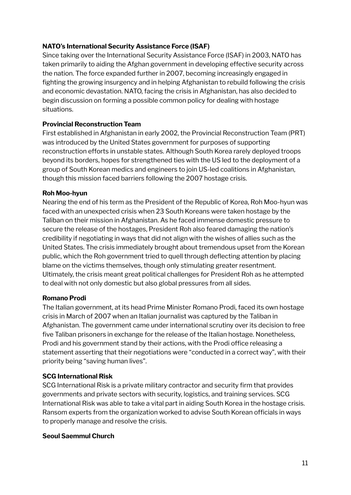#### **NATO's International Security Assistance Force (ISAF)**

Since taking over the International Security Assistance Force (ISAF) in 2003, NATO has taken primarily to aiding the Afghan government in developing effective security across the nation. The force expanded further in 2007, becoming increasingly engaged in fighting the growing insurgency and in helping Afghanistan to rebuild following the crisis and economic devastation. NATO, facing the crisis in Afghanistan, has also decided to begin discussion on forming a possible common policy for dealing with hostage situations.

#### **Provincial Reconstruction Team**

First established in Afghanistan in early 2002, the Provincial Reconstruction Team (PRT) was introduced by the United States government for purposes of supporting reconstruction efforts in unstable states. Although South Korea rarely deployed troops beyond its borders, hopes for strengthened ties with the US led to the deployment of a group of South Korean medics and engineers to join US-led coalitions in Afghanistan, though this mission faced barriers following the 2007 hostage crisis.

#### **Roh Moo-hyun**

Nearing the end of his term as the President of the Republic of Korea, Roh Moo-hyun was faced with an unexpected crisis when 23 South Koreans were taken hostage by the Taliban on their mission in Afghanistan. As he faced immense domestic pressure to secure the release of the hostages, President Roh also feared damaging the nation's credibility if negotiating in ways that did not align with the wishes of allies such as the United States. The crisis immediately brought about tremendous upset from the Korean public, which the Roh government tried to quell through deflecting attention by placing blame on the victims themselves, though only stimulating greater resentment. Ultimately, the crisis meant great political challenges for President Roh as he attempted to deal with not only domestic but also global pressures from all sides.

#### **Romano Prodi**

The Italian government, at its head Prime Minister Romano Prodi, faced its own hostage crisis in March of 2007 when an Italian journalist was captured by the Taliban in Afghanistan. The government came under international scrutiny over its decision to free five Taliban prisoners in exchange for the release of the Italian hostage. Nonetheless, Prodi and his government stand by their actions, with the Prodi office releasing a statement asserting that their negotiations were "conducted in a correct way", with their priority being "saving human lives".

#### **SCG International Risk**

SCG International Risk is a private military contractor and security firm that provides governments and private sectors with security, logistics, and training services. SCG International Risk was able to take a vital part in aiding South Korea in the hostage crisis. Ransom experts from the organization worked to advise South Korean officials in ways to properly manage and resolve the crisis.

#### **Seoul Saemmul Church**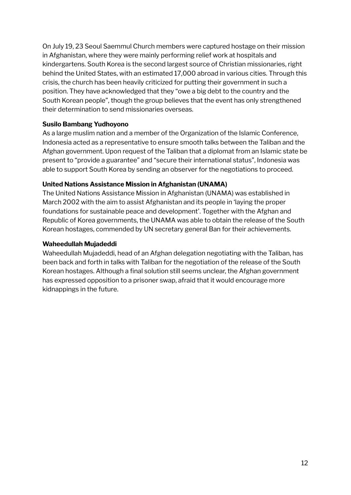On July 19, 23 Seoul Saemmul Church members were captured hostage on their mission in Afghanistan, where they were mainly performing relief work at hospitals and kindergartens. South Korea is the second largest source of Christian missionaries, right behind the United States, with an estimated 17,000 abroad in various cities. Through this crisis, the church has been heavily criticized for putting their government in such a position. They have acknowledged that they "owe a big debt to the country and the South Korean people", though the group believes that the event has only strengthened their determination to send missionaries overseas.

#### **Susilo Bambang Yudhoyono**

As a large muslim nation and a member of the Organization of the Islamic Conference, Indonesia acted as a representative to ensure smooth talks between the Taliban and the Afghan government. Upon request of the Taliban that a diplomat from an Islamic state be present to "provide a guarantee" and "secure their international status", Indonesia was able to support South Korea by sending an observer for the negotiations to proceed.

#### **United Nations Assistance Mission in Afghanistan (UNAMA)**

The United Nations Assistance Mission in Afghanistan (UNAMA) was established in March 2002 with the aim to assist Afghanistan and its people in 'laying the proper foundations for sustainable peace and development'. Together with the Afghan and Republic of Korea governments, the UNAMA was able to obtain the release of the South Korean hostages, commended by UN secretary general Ban for their achievements.

#### **Waheedullah Mujadeddi**

Waheedullah Mujadeddi, head of an Afghan delegation negotiating with the Taliban, has been back and forth in talks with Taliban for the negotiation of the release of the South Korean hostages. Although a final solution still seems unclear, the Afghan government has expressed opposition to a prisoner swap, afraid that it would encourage more kidnappings in the future.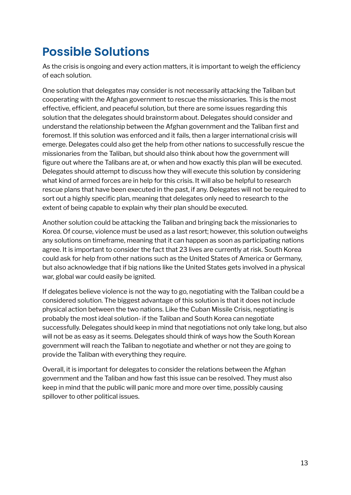### **Possible Solutions**

As the crisis is ongoing and every action matters, it is important to weigh the efficiency of each solution.

One solution that delegates may consider is not necessarily attacking the Taliban but cooperating with the Afghan government to rescue the missionaries. This is the most effective, efficient, and peaceful solution, but there are some issues regarding this solution that the delegates should brainstorm about. Delegates should consider and understand the relationship between the Afghan government and the Taliban first and foremost. If this solution was enforced and it fails, then a larger international crisis will emerge. Delegates could also get the help from other nations to successfully rescue the missionaries from the Taliban, but should also think about how the government will figure out where the Talibans are at, or when and how exactly this plan will be executed. Delegates should attempt to discuss how they will execute this solution by considering what kind of armed forces are in help for this crisis. It will also be helpful to research rescue plans that have been executed in the past, if any. Delegates will not be required to sort out a highly specific plan, meaning that delegates only need to research to the extent of being capable to explain why their plan should be executed.

Another solution could be attacking the Taliban and bringing back the missionaries to Korea. Of course, violence must be used as a last resort; however, this solution outweighs any solutions on timeframe, meaning that it can happen as soon as participating nations agree. It is important to consider the fact that 23 lives are currently at risk. South Korea could ask for help from other nations such as the United States of America or Germany, but also acknowledge that if big nations like the United States gets involved in a physical war, global war could easily be ignited.

If delegates believe violence is not the way to go, negotiating with the Taliban could be a considered solution. The biggest advantage of this solution is that it does not include physical action between the two nations. Like the Cuban Missile Crisis, negotiating is probably the most ideal solution- if the Taliban and South Korea can negotiate successfully. Delegates should keep in mind that negotiations not only take long, but also will not be as easy as it seems. Delegates should think of ways how the South Korean government will reach the Taliban to negotiate and whether or not they are going to provide the Taliban with everything they require.

Overall, it is important for delegates to consider the relations between the Afghan government and the Taliban and how fast this issue can be resolved. They must also keep in mind that the public will panic more and more over time, possibly causing spillover to other political issues.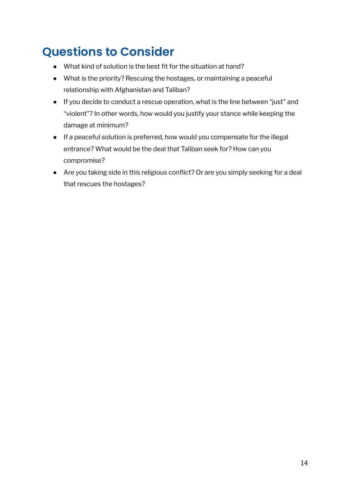### **Questions to Consider**

- What kind of solution is the best fit for the situation at hand?
- What is the priority? Rescuing the hostages, or maintaining a peaceful relationship with Afghanistan and Taliban?
- If you decide to conduct a rescue operation, what is the line between "just" and "violent"? In other words, how would you justify your stance while keeping the damage at minimum?
- If a peaceful solution is preferred, how would you compensate for the illegal entrance? What would be the deal that Taliban seek for? How can you compromise?
- Are you taking side in this religious conflict? Or are you simply seeking for a deal that rescues the hostages?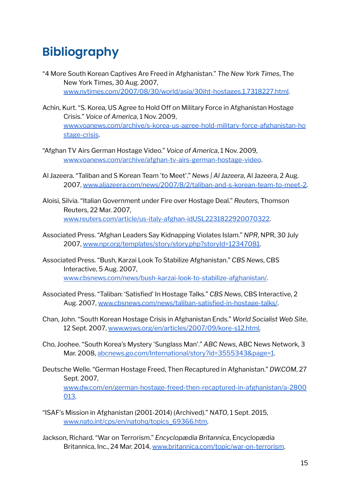### **Bibliography**

- "4 More South Korean Captives Are Freed in Afghanistan." *The New York Times*, The New York Times, 30 Aug. 2007, [www.nytimes.com/2007/08/30/world/asia/30iht-hostages.1.7318227.html](http://www.nytimes.com/2007/08/30/world/asia/30iht-hostages.1.7318227.html).
- Achin, Kurt. "S. Korea, US Agree to Hold Off on Military Force in Afghanistan Hostage Crisis." *Voice of America*, 1 Nov. 2009, [www.voanews.com/archive/s-korea-us-agree-hold-military-force-afghanistan-ho](http://www.voanews.com/archive/s-korea-us-agree-hold-military-force-afghanistan-hostage-crisis) [stage-crisis](http://www.voanews.com/archive/s-korea-us-agree-hold-military-force-afghanistan-hostage-crisis).
- "Afghan TV Airs German Hostage Video." *Voice of America*, 1 Nov. 2009, [www.voanews.com/archive/afghan-tv-airs-german-hostage-video](http://www.voanews.com/archive/afghan-tv-airs-german-hostage-video).
- Al Jazeera. "Taliban and S Korean Team 'to Meet'." *News | Al Jazeera*, Al Jazeera, 2 Aug. 2007, [www.aljazeera.com/news/2007/8/2/taliban-and-s-korean-team-to-meet-2.](http://www.aljazeera.com/news/2007/8/2/taliban-and-s-korean-team-to-meet-2)
- Aloisi, Silvia. "Italian Government under Fire over Hostage Deal." *Reuters*, Thomson Reuters, 22 Mar. 2007, [www.reuters.com/article/us-italy-afghan-idUSL2231822920070322.](http://www.reuters.com/article/us-italy-afghan-idUSL2231822920070322)
- Associated Press. "Afghan Leaders Say Kidnapping Violates Islam." *NPR*, NPR, 30 July 2007, [www.npr.org/templates/story/story.php?storyId=12347081](http://www.npr.org/templates/story/story.php?storyId=12347081).
- Associated Press. "Bush, Karzai Look To Stabilize Afghanistan." *CBS News*, CBS Interactive, 5 Aug. 2007, [www.cbsnews.com/news/bush-karzai-look-to-stabilize-afghanistan/](http://www.cbsnews.com/news/bush-karzai-look-to-stabilize-afghanistan/).
- Associated Press. "Taliban: 'Satisfied' In Hostage Talks." *CBS News*, CBS Interactive, 2 Aug. 2007, [www.cbsnews.com/news/taliban-satisfied-in-hostage-talks/](http://www.cbsnews.com/news/taliban-satisfied-in-hostage-talks/).
- Chan, John. "South Korean Hostage Crisis in Afghanistan Ends." *World Socialist Web Site*, 12 Sept. 2007, [www.wsws.org/en/articles/2007/09/kore-s12.html.](http://www.wsws.org/en/articles/2007/09/kore-s12.html)
- Cho, Joohee. "South Korea's Mystery 'Sunglass Man'." *ABC News*, ABC News Network, 3 Mar. 2008, [abcnews.go.com/International/story?id=3555343&page=1](http://abcnews.go.com/International/story?id=3555343&page=1).
- Deutsche Welle. "German Hostage Freed, Then Recaptured in Afghanistan." *DW.COM*, 27 Sept. 2007, [www.dw.com/en/german-hostage-freed-then-recaptured-in-afghanistan/a-2800](http://www.dw.com/en/german-hostage-freed-then-recaptured-in-afghanistan/a-2800013) [013.](http://www.dw.com/en/german-hostage-freed-then-recaptured-in-afghanistan/a-2800013)
- "ISAF's Mission in Afghanistan (2001-2014) (Archived)." *NATO*, 1 Sept. 2015, [www.nato.int/cps/en/natohq/topics\\_69366.htm.](http://www.nato.int/cps/en/natohq/topics_69366.htm)
- Jackson, Richard. "War on Terrorism." *Encyclopædia Britannica*, Encyclopædia Britannica, Inc., 24 Mar. 2014, [www.britannica.com/topic/war-on-terrorism](http://www.britannica.com/topic/war-on-terrorism).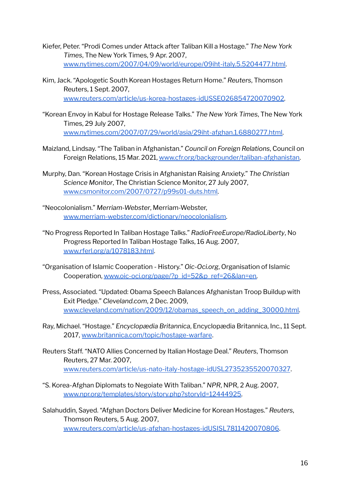- Kiefer, Peter. "Prodi Comes under Attack after Taliban Kill a Hostage." *The New York Times*, The New York Times, 9 Apr. 2007, [www.nytimes.com/2007/04/09/world/europe/09iht-italy.5.5204477.html.](http://www.nytimes.com/2007/04/09/world/europe/09iht-italy.5.5204477.html)
- Kim, Jack. "Apologetic South Korean Hostages Return Home." *Reuters*, Thomson Reuters, 1 Sept. 2007, [www.reuters.com/article/us-korea-hostages-idUSSEO26854720070902.](http://www.reuters.com/article/us-korea-hostages-idUSSEO26854720070902)
- "Korean Envoy in Kabul for Hostage Release Talks." *The New York Times*, The New York Times, 29 July 2007, [www.nytimes.com/2007/07/29/world/asia/29iht-afghan.1.6880277.html.](http://www.nytimes.com/2007/07/29/world/asia/29iht-afghan.1.6880277.html)
- Maizland, Lindsay. "The Taliban in Afghanistan." *Council on Foreign Relations*, Council on Foreign Relations, 15 Mar. 2021, [www.cfr.org/backgrounder/taliban-afghanistan.](http://www.cfr.org/backgrounder/taliban-afghanistan)
- Murphy, Dan. "Korean Hostage Crisis in Afghanistan Raising Anxiety." *The Christian Science Monitor*, The Christian Science Monitor, 27 July 2007, [www.csmonitor.com/2007/0727/p99s01-duts.html.](http://www.csmonitor.com/2007/0727/p99s01-duts.html)
- "Neocolonialism." *Merriam-Webster*, Merriam-Webster, [www.merriam-webster.com/dictionary/neocolonialism.](http://www.merriam-webster.com/dictionary/neocolonialism)
- "No Progress Reported In Taliban Hostage Talks." *RadioFreeEurope/RadioLiberty*, No Progress Reported In Taliban Hostage Talks, 16 Aug. 2007, [www.rferl.org/a/1078183.html](http://www.rferl.org/a/1078183.html).
- "Organisation of Islamic Cooperation History." *Oic-Oci.org*, Organisation of Islamic Cooperation, [www.oic-oci.org/page/?p\\_id=52&p\\_ref=26&lan=en.](http://www.oic-oci.org/page/?p_id=52&p_ref=26&lan=en)
- Press, Associated. "Updated: Obama Speech Balances Afghanistan Troop Buildup with Exit Pledge." *Cleveland.com*, 2 Dec. 2009, [www.cleveland.com/nation/2009/12/obamas\\_speech\\_on\\_adding\\_30000.html.](http://www.cleveland.com/nation/2009/12/obamas_speech_on_adding_30000.html)
- Ray, Michael. "Hostage." *Encyclopædia Britannica*, Encyclopædia Britannica, Inc., 11 Sept. 2017, [www.britannica.com/topic/hostage-warfare](http://www.britannica.com/topic/hostage-warfare).
- Reuters Staff. "NATO Allies Concerned by Italian Hostage Deal." *Reuters*, Thomson Reuters, 27 Mar. 2007, [www.reuters.com/article/us-nato-italy-hostage-idUSL2735235520070327](http://www.reuters.com/article/us-nato-italy-hostage-idUSL2735235520070327).
- "S. Korea-Afghan Diplomats to Negoiate With Taliban." *NPR*, NPR, 2 Aug. 2007, [www.npr.org/templates/story/story.php?storyId=12444925.](http://www.npr.org/templates/story/story.php?storyId=12444925)
- Salahuddin, Sayed. "Afghan Doctors Deliver Medicine for Korean Hostages." *Reuters*, Thomson Reuters, 5 Aug. 2007, [www.reuters.com/article/us-afghan-hostages-idUSISL7811420070806](http://www.reuters.com/article/us-afghan-hostages-idUSISL7811420070806).